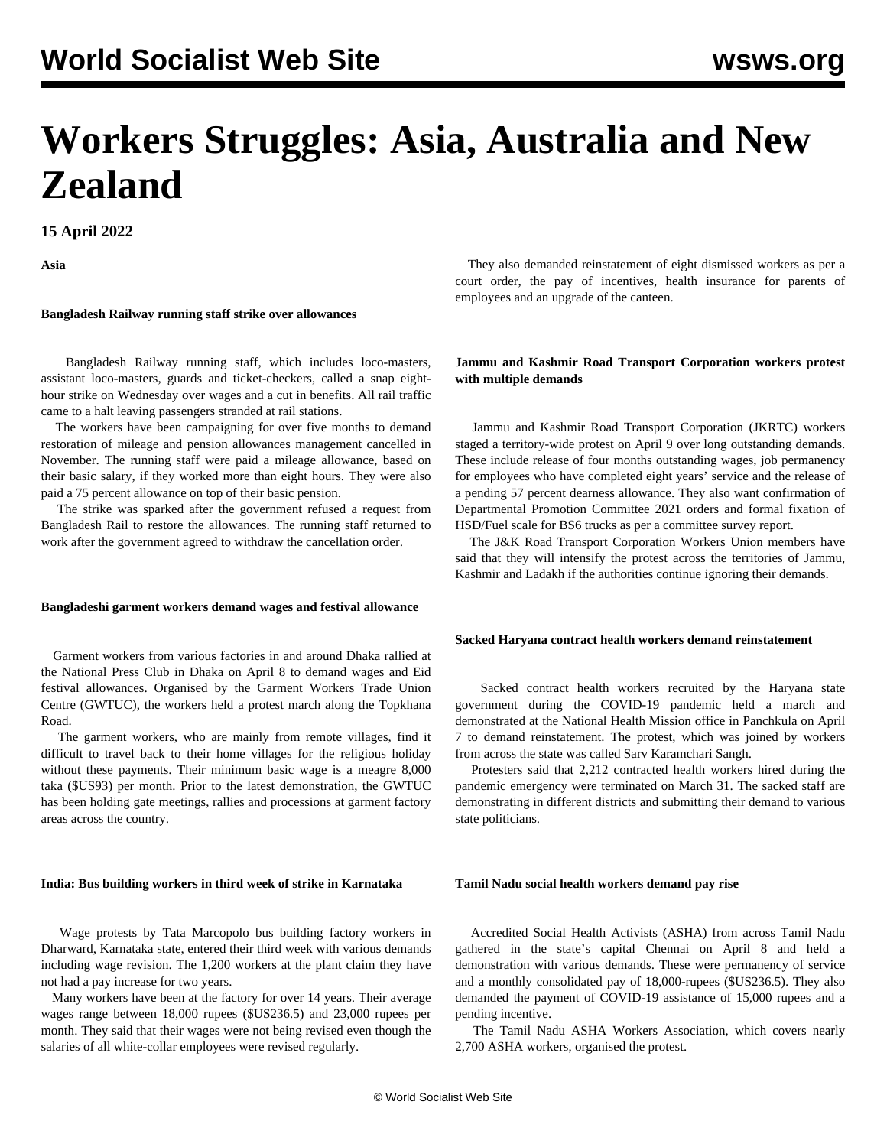# **Workers Struggles: Asia, Australia and New Zealand**

**15 April 2022**

**Asia**

# **Bangladesh Railway running staff strike over allowances**

 Bangladesh Railway running staff, which includes loco-masters, assistant loco-masters, guards and ticket-checkers, called a snap eighthour strike on Wednesday over wages and a cut in benefits. All rail traffic came to a halt leaving passengers stranded at rail stations.

 The workers have been campaigning for over five months to demand restoration of mileage and pension allowances management cancelled in November. The running staff were paid a mileage allowance, based on their basic salary, if they worked more than eight hours. They were also paid a 75 percent allowance on top of their basic pension.

 The strike was sparked after the government refused a request from Bangladesh Rail to restore the allowances. The running staff returned to work after the government agreed to withdraw the cancellation order.

#### **Bangladeshi garment workers demand wages and festival allowance**

 Garment workers from various factories in and around Dhaka rallied at the National Press Club in Dhaka on April 8 to demand wages and Eid festival allowances. Organised by the Garment Workers Trade Union Centre (GWTUC), the workers held a protest march along the Topkhana Road.

 The garment workers, who are mainly from remote villages, find it difficult to travel back to their home villages for the religious holiday without these payments. Their minimum basic wage is a meagre 8,000 taka (\$US93) per month. Prior to the latest demonstration, the GWTUC has been holding gate meetings, rallies and processions at garment factory areas across the country.

# **India: Bus building workers in third week of strike in Karnataka**

 Wage protests by Tata Marcopolo bus building factory workers in Dharward, Karnataka state, entered their third week with various demands including wage revision. The 1,200 workers at the plant claim they have not had a pay increase for two years.

 Many workers have been at the factory for over 14 years. Their average wages range between 18,000 rupees (\$US236.5) and 23,000 rupees per month. They said that their wages were not being revised even though the salaries of all white-collar employees were revised regularly.

 They also demanded reinstatement of eight dismissed workers as per a court order, the pay of incentives, health insurance for parents of employees and an upgrade of the canteen.

# **Jammu and Kashmir Road Transport Corporation workers protest with multiple demands**

 Jammu and Kashmir Road Transport Corporation (JKRTC) workers staged a territory-wide protest on April 9 over long outstanding demands. These include release of four months outstanding wages, job permanency for employees who have completed eight years' service and the release of a pending 57 percent dearness allowance. They also want confirmation of Departmental Promotion Committee 2021 orders and formal fixation of HSD/Fuel scale for BS6 trucks as per a committee survey report.

 The J&K Road Transport Corporation Workers Union members have said that they will intensify the protest across the territories of Jammu, Kashmir and Ladakh if the authorities continue ignoring their demands.

#### **Sacked Haryana contract health workers demand reinstatement**

 Sacked contract health workers recruited by the Haryana state government during the COVID-19 pandemic held a march and demonstrated at the National Health Mission office in Panchkula on April 7 to demand reinstatement. The protest, which was joined by workers from across the state was called Sarv Karamchari Sangh.

 Protesters said that 2,212 contracted health workers hired during the pandemic emergency were terminated on March 31. The sacked staff are demonstrating in different districts and submitting their demand to various state politicians.

#### **Tamil Nadu social health workers demand pay rise**

 Accredited Social Health Activists (ASHA) from across Tamil Nadu gathered in the state's capital Chennai on April 8 and held a demonstration with various demands. These were permanency of service and a monthly consolidated pay of 18,000-rupees (\$US236.5). They also demanded the payment of COVID-19 assistance of 15,000 rupees and a pending incentive.

 The Tamil Nadu ASHA Workers Association, which covers nearly 2,700 ASHA workers, organised the protest.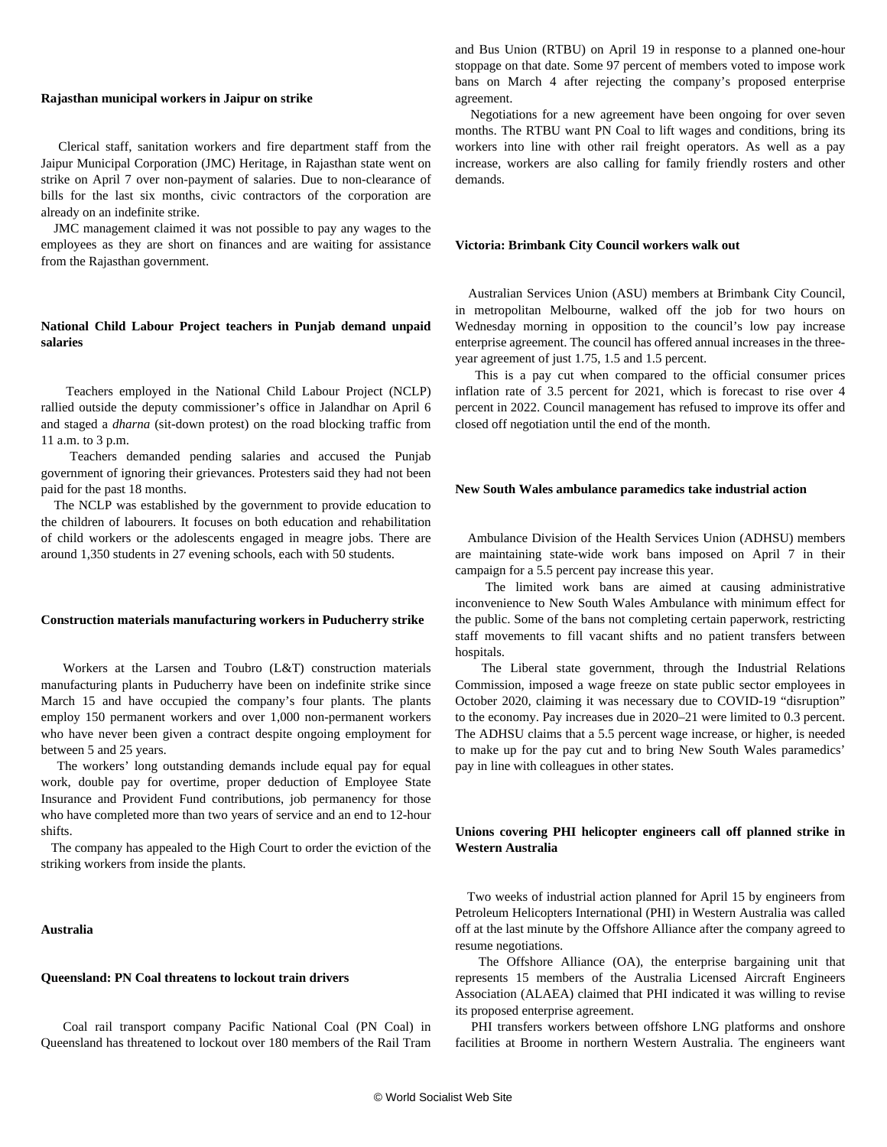#### **Rajasthan municipal workers in Jaipur on strike**

 Clerical staff, sanitation workers and fire department staff from the Jaipur Municipal Corporation (JMC) Heritage, in Rajasthan state went on strike on April 7 over non-payment of salaries. Due to non-clearance of bills for the last six months, civic contractors of the corporation are already on an indefinite strike.

 JMC management claimed it was not possible to pay any wages to the employees as they are short on finances and are waiting for assistance from the Rajasthan government.

# **National Child Labour Project teachers in Punjab demand unpaid salaries**

 Teachers employed in the National Child Labour Project (NCLP) rallied outside the deputy commissioner's office in Jalandhar on April 6 and staged a *dharna* (sit-down protest) on the road blocking traffic from 11 a.m. to 3 p.m.

 Teachers demanded pending salaries and accused the Punjab government of ignoring their grievances. Protesters said they had not been paid for the past 18 months.

 The NCLP was established by the government to provide education to the children of labourers. It focuses on both education and rehabilitation of child workers or the adolescents engaged in meagre jobs. There are around 1,350 students in 27 evening schools, each with 50 students.

#### **Construction materials manufacturing workers in Puducherry strike**

 Workers at the Larsen and Toubro (L&T) construction materials manufacturing plants in Puducherry have been on indefinite strike since March 15 and have occupied the company's four plants. The plants employ 150 permanent workers and over 1,000 non-permanent workers who have never been given a contract despite ongoing employment for between 5 and 25 years.

 The workers' long outstanding demands include equal pay for equal work, double pay for overtime, proper deduction of Employee State Insurance and Provident Fund contributions, job permanency for those who have completed more than two years of service and an end to 12-hour shifts.

 The company has appealed to the High Court to order the eviction of the striking workers from inside the plants.

# **Australia**

### **Queensland: PN Coal threatens to lockout train drivers**

 Coal rail transport company Pacific National Coal (PN Coal) in Queensland has threatened to lockout over 180 members of the Rail Tram and Bus Union (RTBU) on April 19 in response to a planned one-hour stoppage on that date. Some 97 percent of members voted to impose work bans on March 4 after rejecting the company's proposed enterprise agreement.

 Negotiations for a new agreement have been ongoing for over seven months. The RTBU want PN Coal to lift wages and conditions, bring its workers into line with other rail freight operators. As well as a pay increase, workers are also calling for family friendly rosters and other demands.

#### **Victoria: Brimbank City Council workers walk out**

 Australian Services Union (ASU) members at Brimbank City Council, in metropolitan Melbourne, walked off the job for two hours on Wednesday morning in opposition to the council's low pay increase enterprise agreement. The council has offered annual increases in the threeyear agreement of just 1.75, 1.5 and 1.5 percent.

 This is a pay cut when compared to the official consumer prices inflation rate of 3.5 percent for 2021, which is forecast to rise over 4 percent in 2022. Council management has refused to improve its offer and closed off negotiation until the end of the month.

#### **New South Wales ambulance paramedics take industrial action**

 Ambulance Division of the Health Services Union (ADHSU) members are maintaining state-wide work bans imposed on April 7 in their campaign for a 5.5 percent pay increase this year.

 The limited work bans are aimed at causing administrative inconvenience to New South Wales Ambulance with minimum effect for the public. Some of the bans not completing certain paperwork, restricting staff movements to fill vacant shifts and no patient transfers between hospitals.

 The Liberal state government, through the Industrial Relations Commission, imposed a wage freeze on state public sector employees in October 2020, claiming it was necessary due to COVID-19 "disruption" to the economy. Pay increases due in 2020–21 were limited to 0.3 percent. The ADHSU claims that a 5.5 percent wage increase, or higher, is needed to make up for the pay cut and to bring New South Wales paramedics' pay in line with colleagues in other states.

# **Unions covering PHI helicopter engineers call off planned strike in Western Australia**

 Two weeks of industrial action planned for April 15 by engineers from Petroleum Helicopters International (PHI) in Western Australia was called off at the last minute by the Offshore Alliance after the company agreed to resume negotiations.

 The Offshore Alliance (OA), the enterprise bargaining unit that represents 15 members of the Australia Licensed Aircraft Engineers Association (ALAEA) claimed that PHI indicated it was willing to revise its proposed enterprise agreement.

 PHI transfers workers between offshore LNG platforms and onshore facilities at Broome in northern Western Australia. The engineers want